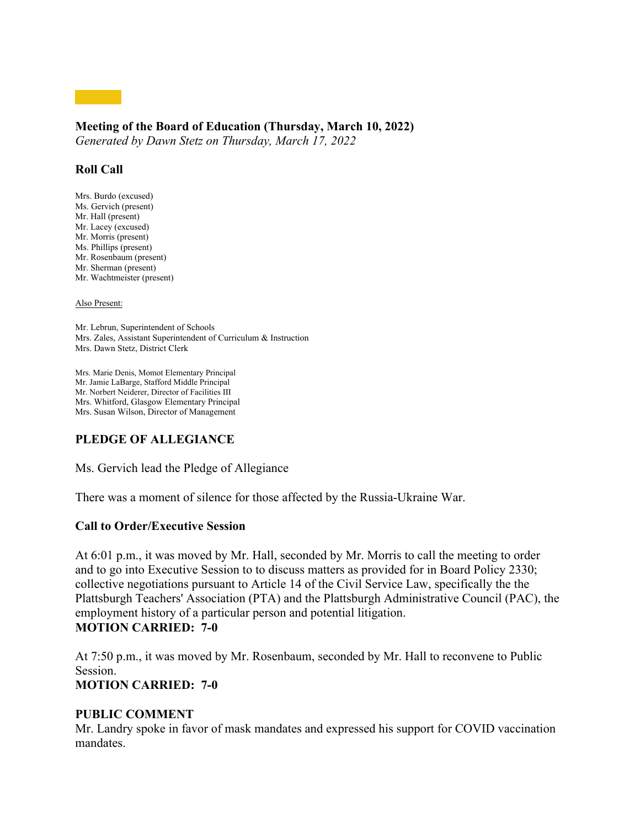# **Meeting of the Board of Education (Thursday, March 10, 2022)**

*Generated by Dawn Stetz on Thursday, March 17, 2022*

# **Roll Call**

Mrs. Burdo (excused) Ms. Gervich (present) Mr. Hall (present) Mr. Lacey (excused) Mr. Morris (present) Ms. Phillips (present) Mr. Rosenbaum (present) Mr. Sherman (present) Mr. Wachtmeister (present)

#### Also Present:

Mr. Lebrun, Superintendent of Schools Mrs. Zales, Assistant Superintendent of Curriculum & Instruction Mrs. Dawn Stetz, District Clerk

Mrs. Marie Denis, Momot Elementary Principal Mr. Jamie LaBarge, Stafford Middle Principal Mr. Norbert Neiderer, Director of Facilities III Mrs. Whitford, Glasgow Elementary Principal Mrs. Susan Wilson, Director of Management

# **PLEDGE OF ALLEGIANCE**

Ms. Gervich lead the Pledge of Allegiance

There was a moment of silence for those affected by the Russia-Ukraine War.

## **Call to Order/Executive Session**

At 6:01 p.m., it was moved by Mr. Hall, seconded by Mr. Morris to call the meeting to order and to go into Executive Session to to discuss matters as provided for in Board Policy 2330; collective negotiations pursuant to Article 14 of the Civil Service Law, specifically the the Plattsburgh Teachers' Association (PTA) and the Plattsburgh Administrative Council (PAC), the employment history of a particular person and potential litigation. **MOTION CARRIED: 7-0**

At 7:50 p.m., it was moved by Mr. Rosenbaum, seconded by Mr. Hall to reconvene to Public Session. **MOTION CARRIED: 7-0**

## **PUBLIC COMMENT**

Mr. Landry spoke in favor of mask mandates and expressed his support for COVID vaccination mandates.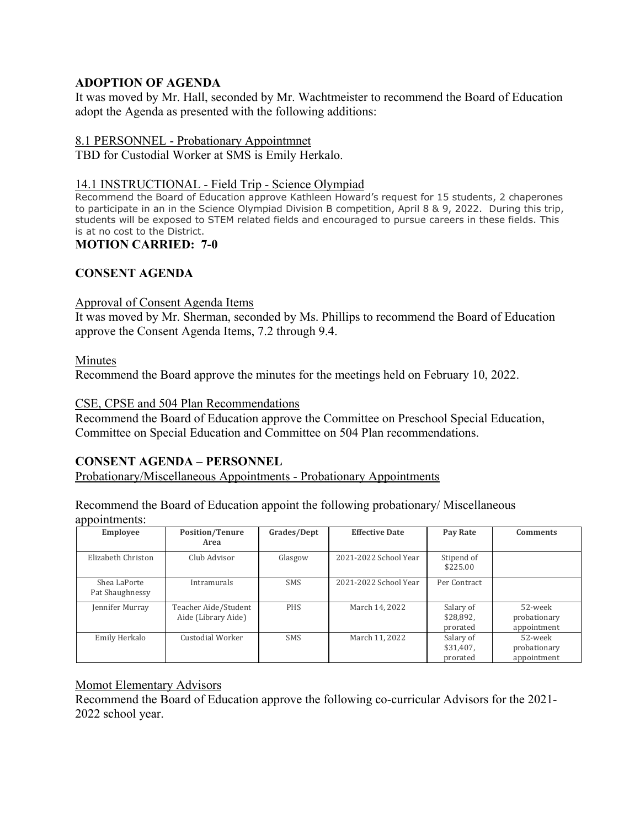# **ADOPTION OF AGENDA**

It was moved by Mr. Hall, seconded by Mr. Wachtmeister to recommend the Board of Education adopt the Agenda as presented with the following additions:

# 8.1 PERSONNEL - Probationary Appointmnet

TBD for Custodial Worker at SMS is Emily Herkalo.

# 14.1 INSTRUCTIONAL - Field Trip - Science Olympiad

Recommend the Board of Education approve Kathleen Howard's request for 15 students, 2 chaperones to participate in an in the Science Olympiad Division B competition, April 8 & 9, 2022. During this trip, students will be exposed to STEM related fields and encouraged to pursue careers in these fields. This is at no cost to the District.

# **MOTION CARRIED: 7-0**

# **CONSENT AGENDA**

## Approval of Consent Agenda Items

It was moved by Mr. Sherman, seconded by Ms. Phillips to recommend the Board of Education approve the Consent Agenda Items, 7.2 through 9.4.

## Minutes

Recommend the Board approve the minutes for the meetings held on February 10, 2022.

## CSE, CPSE and 504 Plan Recommendations

Recommend the Board of Education approve the Committee on Preschool Special Education, Committee on Special Education and Committee on 504 Plan recommendations.

# **CONSENT AGENDA – PERSONNEL**

Probationary/Miscellaneous Appointments - Probationary Appointments

Recommend the Board of Education appoint the following probationary/ Miscellaneous appointments:

| <b>Employee</b>                 | <b>Position/Tenure</b><br>Area              | Grades/Dept | <b>Effective Date</b> | Pay Rate                           | <b>Comments</b>                        |
|---------------------------------|---------------------------------------------|-------------|-----------------------|------------------------------------|----------------------------------------|
| Elizabeth Christon              | Club Advisor                                | Glasgow     | 2021-2022 School Year | Stipend of<br>\$225.00             |                                        |
| Shea LaPorte<br>Pat Shaughnessy | Intramurals                                 | <b>SMS</b>  | 2021-2022 School Year | Per Contract                       |                                        |
| Jennifer Murray                 | Teacher Aide/Student<br>Aide (Library Aide) | <b>PHS</b>  | March 14, 2022        | Salary of<br>\$28,892,<br>prorated | 52-week<br>probationary<br>appointment |
| Emily Herkalo                   | Custodial Worker                            | <b>SMS</b>  | March 11, 2022        | Salary of<br>\$31,407.<br>prorated | 52-week<br>probationary<br>appointment |

# Momot Elementary Advisors

Recommend the Board of Education approve the following co-curricular Advisors for the 2021- 2022 school year.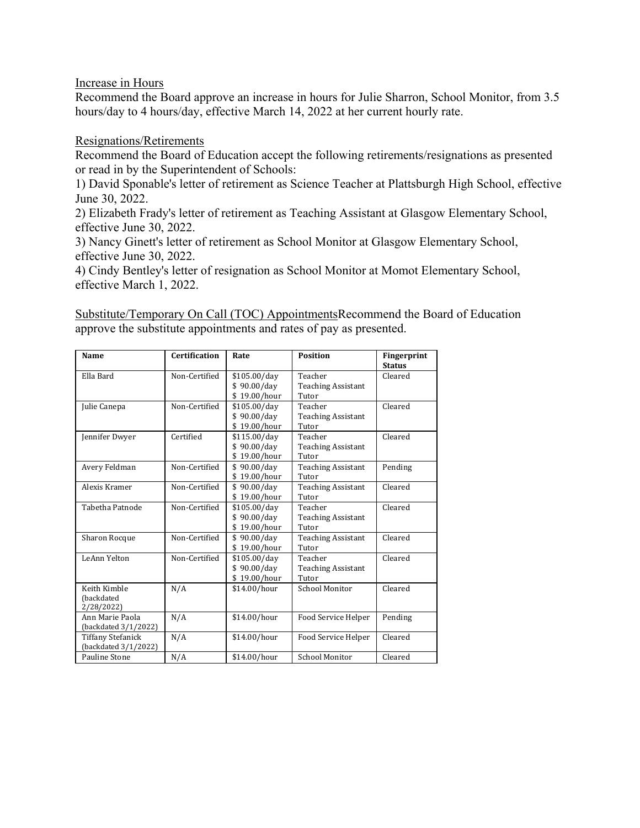Increase in Hours

Recommend the Board approve an increase in hours for Julie Sharron, School Monitor, from 3.5 hours/day to 4 hours/day, effective March 14, 2022 at her current hourly rate.

Resignations/Retirements

Recommend the Board of Education accept the following retirements/resignations as presented or read in by the Superintendent of Schools:

1) David Sponable's letter of retirement as Science Teacher at Plattsburgh High School, effective June 30, 2022.

2) Elizabeth Frady's letter of retirement as Teaching Assistant at Glasgow Elementary School, effective June 30, 2022.

3) Nancy Ginett's letter of retirement as School Monitor at Glasgow Elementary School, effective June 30, 2022.

4) Cindy Bentley's letter of resignation as School Monitor at Momot Elementary School, effective March 1, 2022.

Substitute/Temporary On Call (TOC) AppointmentsRecommend the Board of Education approve the substitute appointments and rates of pay as presented.

| Name                     | Certification | Rate         | <b>Position</b>           | <b>Fingerprint</b><br><b>Status</b> |
|--------------------------|---------------|--------------|---------------------------|-------------------------------------|
| Ella Bard                | Non-Certified | \$105.00/day | Teacher                   | Cleared                             |
|                          |               | \$90.00/dav  | <b>Teaching Assistant</b> |                                     |
|                          |               | \$19.00/hour | Tutor                     |                                     |
| Julie Canepa             | Non-Certified | \$105.00/day | Teacher                   | Cleared                             |
|                          |               | \$90.00/dav  | <b>Teaching Assistant</b> |                                     |
|                          |               | \$19.00/hour | Tutor                     |                                     |
| Jennifer Dwyer           | Certified     | \$115.00/day | Teacher                   | Cleared                             |
|                          |               | \$90.00/day  | <b>Teaching Assistant</b> |                                     |
|                          |               | \$19.00/hour | Tutor                     |                                     |
| Avery Feldman            | Non-Certified | \$90.00/dav  | <b>Teaching Assistant</b> | Pending                             |
|                          |               | \$19.00/hour | Tutor                     |                                     |
| Alexis Kramer            | Non-Certified | \$90.00/day  | <b>Teaching Assistant</b> | Cleared                             |
|                          |               | \$19.00/hour | Tutor                     |                                     |
| Tabetha Patnode          | Non-Certified | \$105.00/day | Teacher                   | Cleared                             |
|                          |               | \$90.00/dav  | <b>Teaching Assistant</b> |                                     |
|                          |               | \$19.00/hour | Tutor                     |                                     |
| <b>Sharon Rocque</b>     | Non-Certified | \$90.00/dav  | <b>Teaching Assistant</b> | Cleared                             |
|                          |               | \$19.00/hour | Tutor                     |                                     |
| LeAnn Yelton             | Non-Certified | \$105.00/day | Teacher                   | Cleared                             |
|                          |               | \$90.00/dav  | <b>Teaching Assistant</b> |                                     |
|                          |               | \$19.00/hour | Tutor                     |                                     |
| Keith Kimble             | N/A           | \$14.00/hour | <b>School Monitor</b>     | Cleared                             |
| (backdated               |               |              |                           |                                     |
| 2/28/2022)               |               |              |                           |                                     |
| Ann Marie Paola          | N/A           | \$14.00/hour | Food Service Helper       | Pending                             |
| (backdated 3/1/2022)     |               |              |                           |                                     |
| <b>Tiffany Stefanick</b> | N/A           | \$14.00/hour | Food Service Helper       | Cleared                             |
| (backdated 3/1/2022)     |               |              |                           |                                     |
| Pauline Stone            | N/A           | \$14.00/hour | School Monitor            | Cleared                             |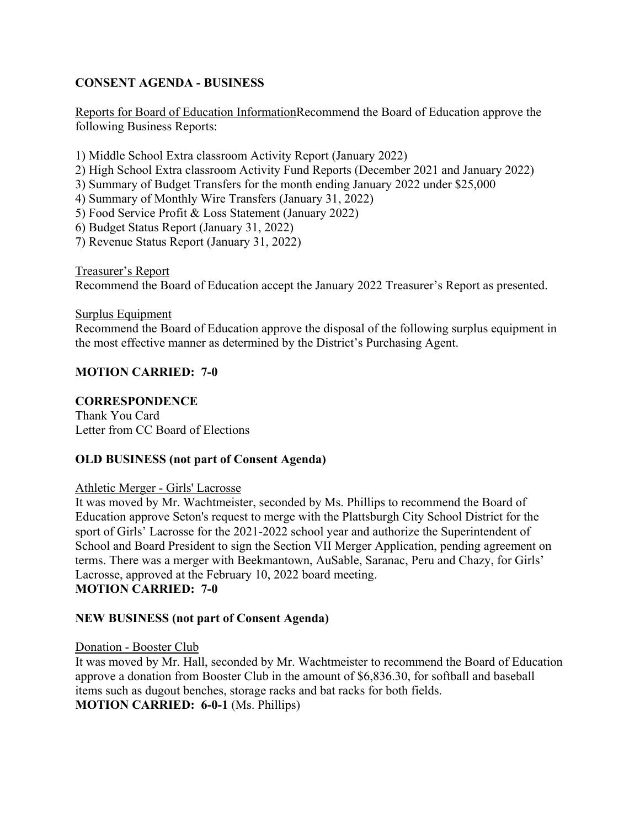# **CONSENT AGENDA - BUSINESS**

Reports for Board of Education InformationRecommend the Board of Education approve the following Business Reports:

- 1) Middle School Extra classroom Activity Report (January 2022)
- 2) High School Extra classroom Activity Fund Reports (December 2021 and January 2022)
- 3) Summary of Budget Transfers for the month ending January 2022 under \$25,000
- 4) Summary of Monthly Wire Transfers (January 31, 2022)
- 5) Food Service Profit & Loss Statement (January 2022)
- 6) Budget Status Report (January 31, 2022)
- 7) Revenue Status Report (January 31, 2022)

Treasurer's Report

Recommend the Board of Education accept the January 2022 Treasurer's Report as presented.

### Surplus Equipment

Recommend the Board of Education approve the disposal of the following surplus equipment in the most effective manner as determined by the District's Purchasing Agent.

# **MOTION CARRIED: 7-0**

# **CORRESPONDENCE**

Thank You Card Letter from CC Board of Elections

## **OLD BUSINESS (not part of Consent Agenda)**

## Athletic Merger - Girls' Lacrosse

It was moved by Mr. Wachtmeister, seconded by Ms. Phillips to recommend the Board of Education approve Seton's request to merge with the Plattsburgh City School District for the sport of Girls' Lacrosse for the 2021-2022 school year and authorize the Superintendent of School and Board President to sign the Section VII Merger Application, pending agreement on terms. There was a merger with Beekmantown, AuSable, Saranac, Peru and Chazy, for Girls' Lacrosse, approved at the February 10, 2022 board meeting. **MOTION CARRIED: 7-0**

## **NEW BUSINESS (not part of Consent Agenda)**

## Donation - Booster Club

It was moved by Mr. Hall, seconded by Mr. Wachtmeister to recommend the Board of Education approve a donation from Booster Club in the amount of \$6,836.30, for softball and baseball items such as dugout benches, storage racks and bat racks for both fields. **MOTION CARRIED: 6-0-1** (Ms. Phillips)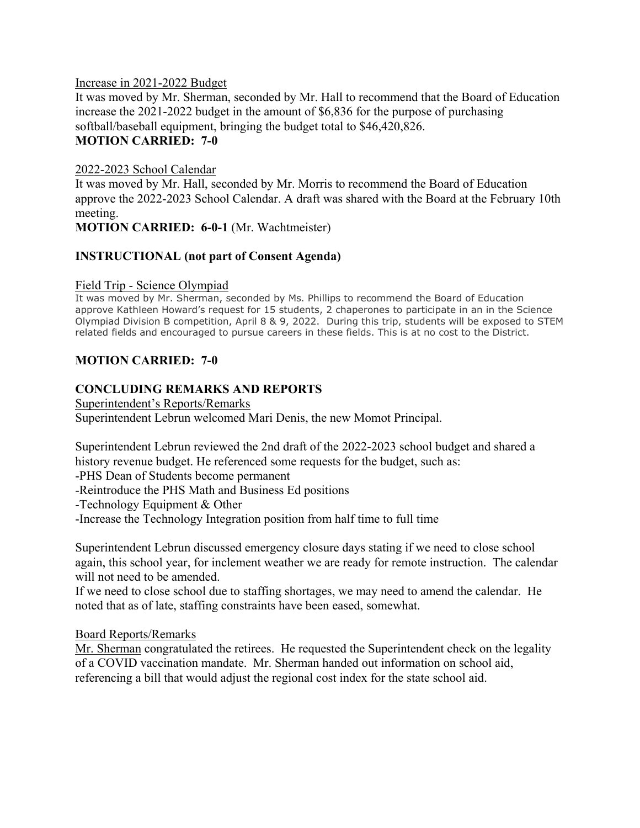## Increase in 2021-2022 Budget

It was moved by Mr. Sherman, seconded by Mr. Hall to recommend that the Board of Education increase the 2021-2022 budget in the amount of \$6,836 for the purpose of purchasing softball/baseball equipment, bringing the budget total to \$46,420,826. **MOTION CARRIED: 7-0**

## 2022-2023 School Calendar

It was moved by Mr. Hall, seconded by Mr. Morris to recommend the Board of Education approve the 2022-2023 School Calendar. A draft was shared with the Board at the February 10th meeting.

**MOTION CARRIED: 6-0-1** (Mr. Wachtmeister)

# **INSTRUCTIONAL (not part of Consent Agenda)**

### Field Trip - Science Olympiad

It was moved by Mr. Sherman, seconded by Ms. Phillips to recommend the Board of Education approve Kathleen Howard's request for 15 students, 2 chaperones to participate in an in the Science Olympiad Division B competition, April 8 & 9, 2022. During this trip, students will be exposed to STEM related fields and encouraged to pursue careers in these fields. This is at no cost to the District.

# **MOTION CARRIED: 7-0**

# **CONCLUDING REMARKS AND REPORTS**

Superintendent's Reports/Remarks Superintendent Lebrun welcomed Mari Denis, the new Momot Principal.

Superintendent Lebrun reviewed the 2nd draft of the 2022-2023 school budget and shared a history revenue budget. He referenced some requests for the budget, such as:

-PHS Dean of Students become permanent

-Reintroduce the PHS Math and Business Ed positions

-Technology Equipment & Other

-Increase the Technology Integration position from half time to full time

Superintendent Lebrun discussed emergency closure days stating if we need to close school again, this school year, for inclement weather we are ready for remote instruction. The calendar will not need to be amended.

If we need to close school due to staffing shortages, we may need to amend the calendar. He noted that as of late, staffing constraints have been eased, somewhat.

Board Reports/Remarks

Mr. Sherman congratulated the retirees. He requested the Superintendent check on the legality of a COVID vaccination mandate. Mr. Sherman handed out information on school aid, referencing a bill that would adjust the regional cost index for the state school aid.